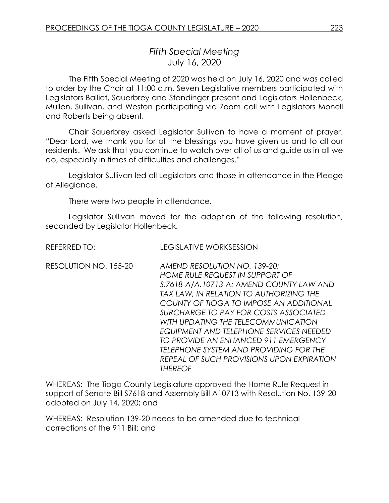## *Fifth Special Meeting* July 16, 2020

The Fifth Special Meeting of 2020 was held on July 16, 2020 and was called to order by the Chair at 11:00 a.m. Seven Legislative members participated with Legislators Balliet, Sauerbrey and Standinger present and Legislators Hollenbeck, Mullen, Sullivan, and Weston participating via Zoom call with Legislators Monell and Roberts being absent.

Chair Sauerbrey asked Legislator Sullivan to have a moment of prayer. "Dear Lord, we thank you for all the blessings you have given us and to all our residents. We ask that you continue to watch over all of us and guide us in all we do, especially in times of difficulties and challenges."

Legislator Sullivan led all Legislators and those in attendance in the Pledge of Allegiance.

There were two people in attendance.

Legislator Sullivan moved for the adoption of the following resolution, seconded by Legislator Hollenbeck.

| REFERRED TO:          | <b>LEGISLATIVE WORKSESSION</b>                                                                                                                                                                                                                                                                                                                                                                                                                                                       |
|-----------------------|--------------------------------------------------------------------------------------------------------------------------------------------------------------------------------------------------------------------------------------------------------------------------------------------------------------------------------------------------------------------------------------------------------------------------------------------------------------------------------------|
| RESOLUTION NO. 155-20 | AMEND RESOLUTION NO. 139-20;<br><b>HOME RULE REQUEST IN SUPPORT OF</b><br>S.7618-A/A.10713-A: AMEND COUNTY LAW AND<br>TAX LAW, IN RELATION TO AUTHORIZING THE<br>COUNTY OF TIOGA TO IMPOSE AN ADDITIONAL<br>SURCHARGE TO PAY FOR COSTS ASSOCIATED<br>WITH UPDATING THE TELECOMMUNICATION<br>EQUIPMENT AND TELEPHONE SERVICES NEEDED<br>TO PROVIDE AN ENHANCED 911 EMERGENCY<br>TELEPHONE SYSTEM AND PROVIDING FOR THE<br>REPEAL OF SUCH PROVISIONS UPON EXPIRATION<br><b>THEREOF</b> |

WHEREAS: The Tioga County Legislature approved the Home Rule Request in support of Senate Bill S7618 and Assembly Bill A10713 with Resolution No. 139-20 adopted on July 14, 2020; and

WHEREAS: Resolution 139-20 needs to be amended due to technical corrections of the 911 Bill; and